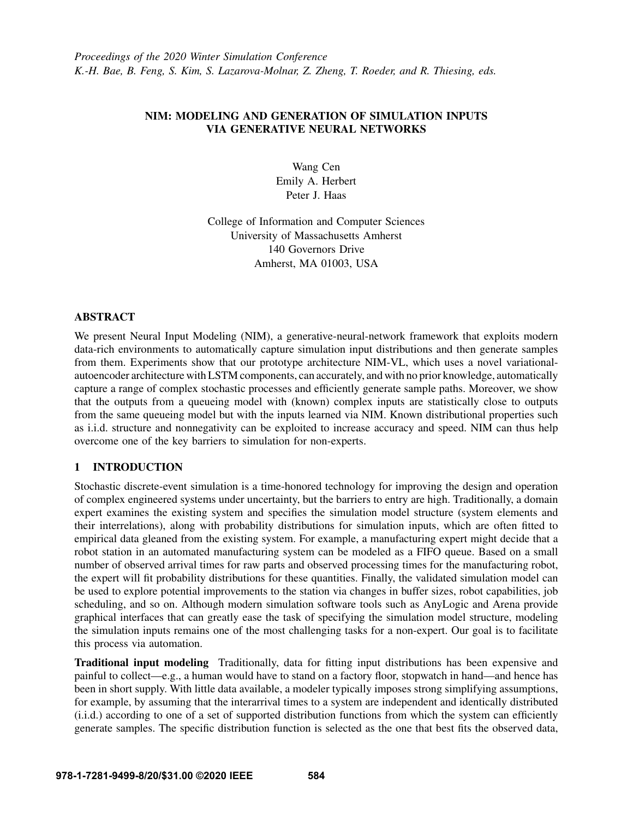# NIM: MODELING AND GENERATION OF SIMULATION INPUTS VIA GENERATIVE NEURAL NETWORKS

Wang Cen Emily A. Herbert Peter J. Haas

College of Information and Computer Sciences University of Massachusetts Amherst 140 Governors Drive Amherst, MA 01003, USA

## ABSTRACT

We present Neural Input Modeling (NIM), a generative-neural-network framework that exploits modern data-rich environments to automatically capture simulation input distributions and then generate samples from them. Experiments show that our prototype architecture NIM-VL, which uses a novel variationalautoencoder architecture with LSTM components, can accurately, and with no prior knowledge, automatically capture a range of complex stochastic processes and efficiently generate sample paths. Moreover, we show that the outputs from a queueing model with (known) complex inputs are statistically close to outputs from the same queueing model but with the inputs learned via NIM. Known distributional properties such as i.i.d. structure and nonnegativity can be exploited to increase accuracy and speed. NIM can thus help overcome one of the key barriers to simulation for non-experts.

# 1 INTRODUCTION

Stochastic discrete-event simulation is a time-honored technology for improving the design and operation of complex engineered systems under uncertainty, but the barriers to entry are high. Traditionally, a domain expert examines the existing system and specifies the simulation model structure (system elements and their interrelations), along with probability distributions for simulation inputs, which are often fitted to empirical data gleaned from the existing system. For example, a manufacturing expert might decide that a robot station in an automated manufacturing system can be modeled as a FIFO queue. Based on a small number of observed arrival times for raw parts and observed processing times for the manufacturing robot, the expert will fit probability distributions for these quantities. Finally, the validated simulation model can be used to explore potential improvements to the station via changes in buffer sizes, robot capabilities, job scheduling, and so on. Although modern simulation software tools such as AnyLogic and Arena provide graphical interfaces that can greatly ease the task of specifying the simulation model structure, modeling the simulation inputs remains one of the most challenging tasks for a non-expert. Our goal is to facilitate this process via automation.

Traditional input modeling Traditionally, data for fitting input distributions has been expensive and painful to collect—e.g., a human would have to stand on a factory floor, stopwatch in hand—and hence has been in short supply. With little data available, a modeler typically imposes strong simplifying assumptions, for example, by assuming that the interarrival times to a system are independent and identically distributed (i.i.d.) according to one of a set of supported distribution functions from which the system can efficiently generate samples. The specific distribution function is selected as the one that best fits the observed data,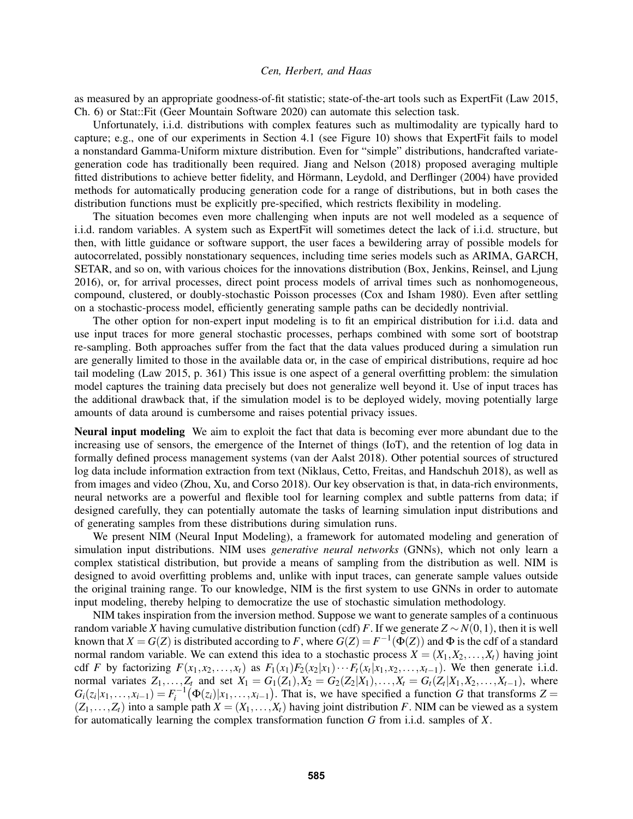as measured by an appropriate goodness-of-fit statistic; state-of-the-art tools such as ExpertFit [\(Law 2015,](#page-11-0) Ch. 6) or Stat::Fit [\(Geer Mountain Software 2020\)](#page-11-1) can automate this selection task.

Unfortunately, i.i.d. distributions with complex features such as multimodality are typically hard to capture; e.g., one of our experiments in Section [4.1](#page-7-0) (see Figure [10\)](#page-10-0) shows that ExpertFit fails to model a nonstandard Gamma-Uniform mixture distribution. Even for "simple" distributions, handcrafted variategeneration code has traditionally been required. [Jiang and Nelson \(2018\)](#page-11-2) proposed averaging multiple fitted distributions to achieve better fidelity, and Hörmann, Leydold, and Derflinger (2004) have provided methods for automatically producing generation code for a range of distributions, but in both cases the distribution functions must be explicitly pre-specified, which restricts flexibility in modeling.

The situation becomes even more challenging when inputs are not well modeled as a sequence of i.i.d. random variables. A system such as ExpertFit will sometimes detect the lack of i.i.d. structure, but then, with little guidance or software support, the user faces a bewildering array of possible models for autocorrelated, possibly nonstationary sequences, including time series models such as ARIMA, GARCH, SETAR, and so on, with various choices for the innovations distribution [\(Box, Jenkins, Reinsel, and Ljung](#page-11-4) [2016\)](#page-11-4), or, for arrival processes, direct point process models of arrival times such as nonhomogeneous, compound, clustered, or doubly-stochastic Poisson processes [\(Cox and Isham 1980\)](#page-11-5). Even after settling on a stochastic-process model, efficiently generating sample paths can be decidedly nontrivial.

The other option for non-expert input modeling is to fit an empirical distribution for i.i.d. data and use input traces for more general stochastic processes, perhaps combined with some sort of bootstrap re-sampling. Both approaches suffer from the fact that the data values produced during a simulation run are generally limited to those in the available data or, in the case of empirical distributions, require ad hoc tail modeling [\(Law 2015,](#page-11-0) p. 361) This issue is one aspect of a general overfitting problem: the simulation model captures the training data precisely but does not generalize well beyond it. Use of input traces has the additional drawback that, if the simulation model is to be deployed widely, moving potentially large amounts of data around is cumbersome and raises potential privacy issues.

Neural input modeling We aim to exploit the fact that data is becoming ever more abundant due to the increasing use of sensors, the emergence of the Internet of things (IoT), and the retention of log data in formally defined process management systems [\(van der Aalst 2018\)](#page-11-6). Other potential sources of structured log data include information extraction from text [\(Niklaus, Cetto, Freitas, and Handschuh 2018\)](#page-11-7), as well as from images and video [\(Zhou, Xu, and Corso 2018\)](#page-11-8). Our key observation is that, in data-rich environments, neural networks are a powerful and flexible tool for learning complex and subtle patterns from data; if designed carefully, they can potentially automate the tasks of learning simulation input distributions and of generating samples from these distributions during simulation runs.

We present NIM (Neural Input Modeling), a framework for automated modeling and generation of simulation input distributions. NIM uses *generative neural networks* (GNNs), which not only learn a complex statistical distribution, but provide a means of sampling from the distribution as well. NIM is designed to avoid overfitting problems and, unlike with input traces, can generate sample values outside the original training range. To our knowledge, NIM is the first system to use GNNs in order to automate input modeling, thereby helping to democratize the use of stochastic simulation methodology.

NIM takes inspiration from the inversion method. Suppose we want to generate samples of a continuous random variable *X* having cumulative distribution function (cdf) *F*. If we generate  $Z \sim N(0,1)$ , then it is well known that  $X = G(Z)$  is distributed according to F, where  $G(Z) = F^{-1}(\Phi(Z))$  and  $\Phi$  is the cdf of a standard normal random variable. We can extend this idea to a stochastic process  $X = (X_1, X_2, \ldots, X_t)$  having joint cdf F by factorizing  $F(x_1, x_2,...,x_t)$  as  $F_1(x_1)F_2(x_2|x_1)\cdots F_t(x_t|x_1, x_2,...,x_{t-1})$ . We then generate i.i.d. normal variates  $Z_1, ..., Z_t$  and set  $X_1 = G_1(Z_1), X_2 = G_2(Z_2|X_1), ..., X_t = G_t(Z_t|X_1, X_2, ..., X_{t-1}),$  where  $G_i(z_i|x_1,\ldots,x_{i-1}) = F_i^{-1}(\Phi(z_i)|x_1,\ldots,x_{i-1})$ . That is, we have specified a function *G* that transforms  $Z =$  $(Z_1,...,Z_t)$  into a sample path  $X = (X_1,...,X_t)$  having joint distribution *F*. NIM can be viewed as a system for automatically learning the complex transformation function *G* from i.i.d. samples of *X*.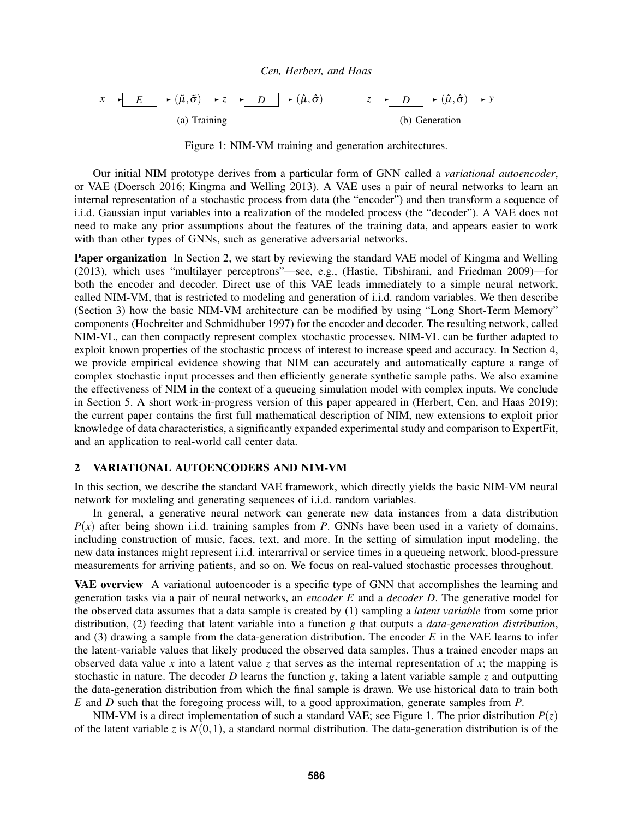<span id="page-2-1"></span>

Figure 1: NIM-VM training and generation architectures.

Our initial NIM prototype derives from a particular form of GNN called a *variational autoencoder*, or VAE [\(Doersch 2016;](#page-11-9) [Kingma and Welling 2013\)](#page-11-10). A VAE uses a pair of neural networks to learn an internal representation of a stochastic process from data (the "encoder") and then transform a sequence of i.i.d. Gaussian input variables into a realization of the modeled process (the "decoder"). A VAE does not need to make any prior assumptions about the features of the training data, and appears easier to work with than other types of GNNs, such as generative adversarial networks.

Paper organization In Section [2,](#page-2-0) we start by reviewing the standard VAE model of [Kingma and Welling](#page-11-10) [\(2013\),](#page-11-10) which uses "multilayer perceptrons"—see, e.g., [\(Hastie, Tibshirani, and Friedman 2009\)](#page-11-11)—for both the encoder and decoder. Direct use of this VAE leads immediately to a simple neural network, called NIM-VM, that is restricted to modeling and generation of i.i.d. random variables. We then describe (Section [3\)](#page-4-0) how the basic NIM-VM architecture can be modified by using "Long Short-Term Memory" components [\(Hochreiter and Schmidhuber 1997\)](#page-11-12) for the encoder and decoder. The resulting network, called NIM-VL, can then compactly represent complex stochastic processes. NIM-VL can be further adapted to exploit known properties of the stochastic process of interest to increase speed and accuracy. In Section [4,](#page-7-1) we provide empirical evidence showing that NIM can accurately and automatically capture a range of complex stochastic input processes and then efficiently generate synthetic sample paths. We also examine the effectiveness of NIM in the context of a queueing simulation model with complex inputs. We conclude in Section [5.](#page-11-13) A short work-in-progress version of this paper appeared in [\(Herbert, Cen, and Haas 2019\)](#page-11-14); the current paper contains the first full mathematical description of NIM, new extensions to exploit prior knowledge of data characteristics, a significantly expanded experimental study and comparison to ExpertFit, and an application to real-world call center data.

## <span id="page-2-0"></span>2 VARIATIONAL AUTOENCODERS AND NIM-VM

In this section, we describe the standard VAE framework, which directly yields the basic NIM-VM neural network for modeling and generating sequences of i.i.d. random variables.

In general, a generative neural network can generate new data instances from a data distribution  $P(x)$  after being shown i.i.d. training samples from *P*. GNNs have been used in a variety of domains, including construction of music, faces, text, and more. In the setting of simulation input modeling, the new data instances might represent i.i.d. interarrival or service times in a queueing network, blood-pressure measurements for arriving patients, and so on. We focus on real-valued stochastic processes throughout.

VAE overview A variational autoencoder is a specific type of GNN that accomplishes the learning and generation tasks via a pair of neural networks, an *encoder E* and a *decoder D*. The generative model for the observed data assumes that a data sample is created by (1) sampling a *latent variable* from some prior distribution, (2) feeding that latent variable into a function *g* that outputs a *data-generation distribution*, and (3) drawing a sample from the data-generation distribution. The encoder *E* in the VAE learns to infer the latent-variable values that likely produced the observed data samples. Thus a trained encoder maps an observed data value x into a latent value z that serves as the internal representation of x; the mapping is stochastic in nature. The decoder *D* learns the function *g*, taking a latent variable sample *z* and outputting the data-generation distribution from which the final sample is drawn. We use historical data to train both *E* and *D* such that the foregoing process will, to a good approximation, generate samples from *P*.

NIM-VM is a direct implementation of such a standard VAE; see Figure [1.](#page-2-1) The prior distribution  $P(z)$ of the latent variable *z* is  $N(0,1)$ , a standard normal distribution. The data-generation distribution is of the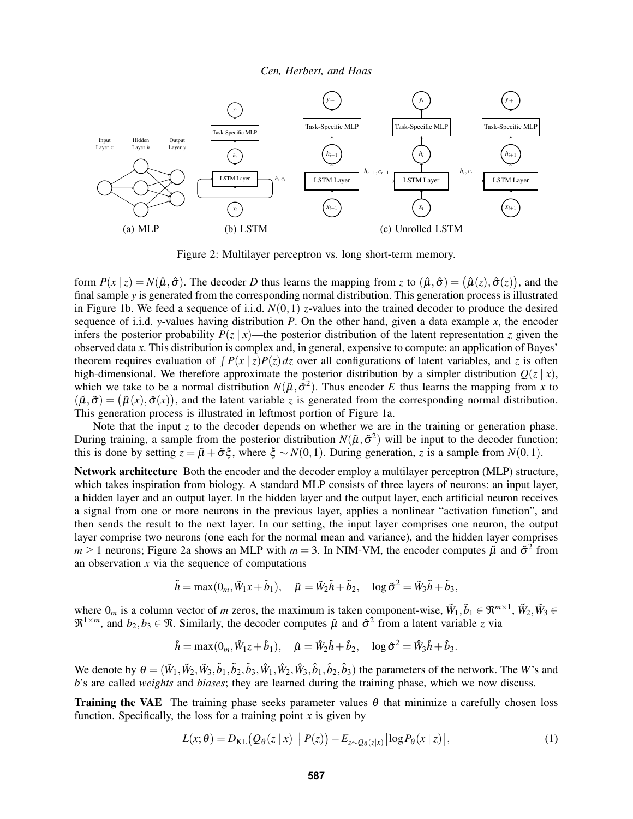<span id="page-3-0"></span>

Figure 2: Multilayer perceptron vs. long short-term memory.

form  $P(x | z) = N(\hat{\mu}, \hat{\sigma})$ . The decoder *D* thus learns the mapping from *z* to  $(\hat{\mu}, \hat{\sigma}) = (\hat{\mu}(z), \hat{\sigma}(z))$ , and the final sample *y* is generated from the corresponding normal distribution. This generation process is illustrated in Figure [1b.](#page-2-1) We feed a sequence of i.i.d. *N*(0,1) *z*-values into the trained decoder to produce the desired sequence of i.i.d. *y*-values having distribution *P*. On the other hand, given a data example *x*, the encoder infers the posterior probability  $P(z | x)$ —the posterior distribution of the latent representation *z* given the observed data *x*. This distribution is complex and, in general, expensive to compute: an application of Bayes' theorem requires evaluation of  $\int P(x | z)P(z) dz$  over all configurations of latent variables, and *z* is often high-dimensional. We therefore approximate the posterior distribution by a simpler distribution  $O(z | x)$ , which we take to be a normal distribution  $N(\tilde{\mu}, \tilde{\sigma}^2)$ . Thus encoder *E* thus learns the mapping from *x* to  $(\tilde{\mu}, \tilde{\sigma}) = (\tilde{\mu}(x), \tilde{\sigma}(x))$ , and the latent variable *z* is generated from the corresponding normal distribution. This generation process is illustrated in leftmost portion of Figure [1a.](#page-2-1)

Note that the input  $\zeta$  to the decoder depends on whether we are in the training or generation phase. During training, a sample from the posterior distribution  $N(\tilde{\mu}, \tilde{\sigma}^2)$  will be input to the decoder function; this is done by setting  $z = \tilde{\mu} + \tilde{\sigma}\xi$ , where  $\xi \sim N(0,1)$ . During generation, *z* is a sample from  $N(0,1)$ .

Network architecture Both the encoder and the decoder employ a multilayer perceptron (MLP) structure, which takes inspiration from biology. A standard MLP consists of three layers of neurons: an input layer, a hidden layer and an output layer. In the hidden layer and the output layer, each artificial neuron receives a signal from one or more neurons in the previous layer, applies a nonlinear "activation function", and then sends the result to the next layer. In our setting, the input layer comprises one neuron, the output layer comprise two neurons (one each for the normal mean and variance), and the hidden layer comprises  $m \ge 1$  neurons; Figure [2a](#page-3-0) shows an MLP with  $m = 3$ . In NIM-VM, the encoder computes  $\tilde{\mu}$  and  $\tilde{\sigma}^2$  from an observation *x* via the sequence of computations

$$
\tilde{h} = \max(0_m, \tilde{W}_1 x + \tilde{b}_1), \quad \tilde{\mu} = \tilde{W}_2 \tilde{h} + \tilde{b}_2, \quad \log \tilde{\sigma}^2 = \tilde{W}_3 \tilde{h} + \tilde{b}_3,
$$

where  $0_m$  is a column vector of *m* zeros, the maximum is taken component-wise,  $\tilde{W}_1, \tilde{b}_1 \in \mathbb{R}^{m \times 1}$ ,  $\tilde{W}_2, \tilde{W}_3 \in$  $\mathfrak{R}^{1 \times m}$ , and  $b_2, b_3 \in \mathfrak{R}$ . Similarly, the decoder computes  $\hat{\mu}$  and  $\hat{\sigma}^2$  from a latent variable *z* via

$$
\hat{h} = \max(0_m, \hat{W}_{1z} + \hat{b}_1), \quad \hat{\mu} = \hat{W}_{2}\hat{h} + \hat{b}_2, \quad \log \hat{\sigma}^2 = \hat{W}_{3}\hat{h} + \hat{b}_3.
$$

We denote by  $\theta = (\tilde{W}_1, \tilde{W}_2, \tilde{W}_3, \tilde{b}_1, \tilde{b}_2, \tilde{b}_3, \hat{W}_1, \hat{W}_2, \hat{W}_3, \hat{b}_1, \hat{b}_2, \hat{b}_3)$  the parameters of the network. The *W*'s and *b*'s are called *weights* and *biases*; they are learned during the training phase, which we now discuss.

**Training the VAE** The training phase seeks parameter values  $\theta$  that minimize a carefully chosen loss function. Specifically, the loss for a training point  $x$  is given by

<span id="page-3-1"></span>
$$
L(x; \theta) = D_{\text{KL}}\big(Q_{\theta}(z \mid x) \mid P(z)\big) - E_{z \sim Q_{\theta}(z \mid x)}\big[\log P_{\theta}(x \mid z)\big],\tag{1}
$$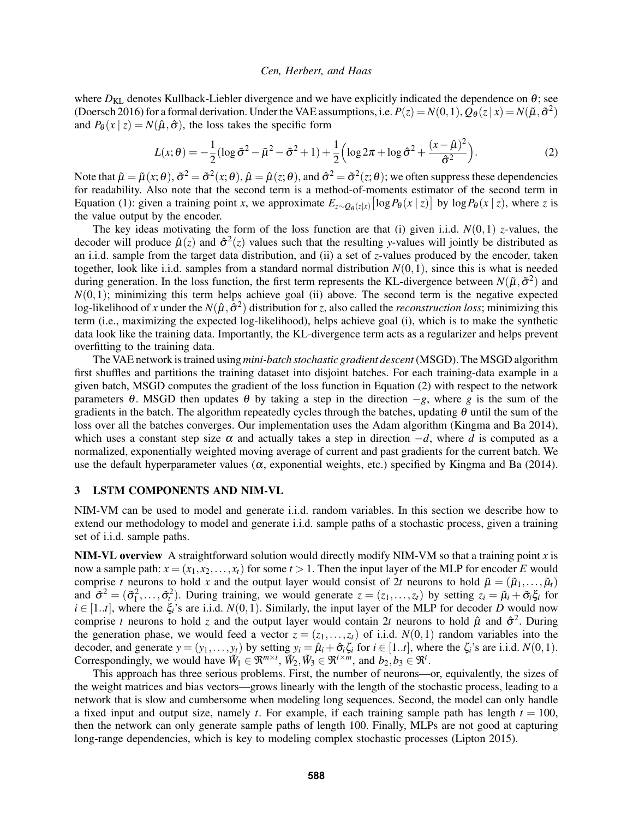where  $D_{KL}$  denotes Kullback-Liebler divergence and we have explicitly indicated the dependence on  $\theta$ ; see [\(Doersch 2016\)](#page-11-9) for a formal derivation. Under the VAE assumptions, i.e.  $P(z) = N(0,1)$ ,  $Q_{\theta}(z|x) = N(\tilde{\mu}, \tilde{\sigma}^2)$ and  $P_{\theta}(x \mid z) = N(\hat{\mu}, \hat{\sigma})$ , the loss takes the specific form

<span id="page-4-1"></span>
$$
L(x; \theta) = -\frac{1}{2} (\log \tilde{\sigma}^2 - \tilde{\mu}^2 - \tilde{\sigma}^2 + 1) + \frac{1}{2} \left( \log 2\pi + \log \hat{\sigma}^2 + \frac{(x - \hat{\mu})^2}{\hat{\sigma}^2} \right).
$$
 (2)

Note that  $\tilde{\mu} = \tilde{\mu}(x;\theta), \tilde{\sigma}^2 = \tilde{\sigma}^2(x;\theta), \hat{\mu} = \hat{\mu}(z;\theta),$  and  $\hat{\sigma}^2 = \tilde{\sigma}^2(z;\theta)$ ; we often suppress these dependencies for readability. Also note that the second term is a method-of-moments estimator of the second term in Equation [\(1\)](#page-3-1): given a training point *x*, we approximate  $E_{z \sim Q_{\theta}(z|x)} [\log P_{\theta}(x | z)]$  by  $\log P_{\theta}(x | z)$ , where *z* is the value output by the encoder.

The key ideas motivating the form of the loss function are that (i) given i.i.d.  $N(0,1)$  *z*-values, the decoder will produce  $\hat{\mu}(z)$  and  $\hat{\sigma}^2(z)$  values such that the resulting *y*-values will jointly be distributed as an i.i.d. sample from the target data distribution, and (ii) a set of *z*-values produced by the encoder, taken together, look like i.i.d. samples from a standard normal distribution  $N(0,1)$ , since this is what is needed during generation. In the loss function, the first term represents the KL-divergence between  $N(\tilde{\mu}, \tilde{\sigma}^2)$  and  $N(0,1)$ ; minimizing this term helps achieve goal (ii) above. The second term is the negative expected log-likelihood of *x* under the  $N(\hat{\mu}, \hat{\sigma}^2)$  distribution for *z*, also called the *reconstruction loss*; minimizing this term (i.e., maximizing the expected log-likelihood), helps achieve goal (i), which is to make the synthetic data look like the training data. Importantly, the KL-divergence term acts as a regularizer and helps prevent overfitting to the training data.

The VAE network is trained using *mini-batch stochastic gradient descent* (MSGD). The MSGD algorithm first shuffles and partitions the training dataset into disjoint batches. For each training-data example in a given batch, MSGD computes the gradient of the loss function in Equation [\(2\)](#page-4-1) with respect to the network parameters  $\theta$ . MSGD then updates  $\theta$  by taking a step in the direction  $-g$ , where *g* is the sum of the gradients in the batch. The algorithm repeatedly cycles through the batches, updating  $\theta$  until the sum of the loss over all the batches converges. Our implementation uses the Adam algorithm [\(Kingma and Ba 2014\)](#page-11-15), which uses a constant step size  $\alpha$  and actually takes a step in direction  $-d$ , where *d* is computed as a normalized, exponentially weighted moving average of current and past gradients for the current batch. We use the default hyperparameter values ( $\alpha$ , exponential weights, etc.) specified by [Kingma and Ba \(2014\).](#page-11-15)

## <span id="page-4-0"></span>3 LSTM COMPONENTS AND NIM-VL

NIM-VM can be used to model and generate i.i.d. random variables. In this section we describe how to extend our methodology to model and generate i.i.d. sample paths of a stochastic process, given a training set of i.i.d. sample paths.

NIM-VL overview A straightforward solution would directly modify NIM-VM so that a training point *x* is now a sample path:  $x = (x_1, x_2, \ldots, x_t)$  for some  $t > 1$ . Then the input layer of the MLP for encoder *E* would comprise *t* neurons to hold *x* and the output layer would consist of 2*t* neurons to hold  $\tilde{\mu} = (\tilde{\mu}_1, \dots, \tilde{\mu}_t)$ and  $\tilde{\sigma}^2 = (\tilde{\sigma}_1^2, \ldots, \tilde{\sigma}_t^2)$ . During training, we would generate  $z = (z_1, \ldots, z_t)$  by setting  $z_i = \tilde{\mu}_i + \tilde{\sigma}_i \xi_i$  for  $i \in [1..t]$ , where the  $\xi_i$ 's are i.i.d.  $N(0,1)$ . Similarly, the input layer of the MLP for decoder *D* would now comprise *t* neurons to hold *z* and the output layer would contain 2*t* neurons to hold  $\hat{\mu}$  and  $\hat{\sigma}^2$ . During the generation phase, we would feed a vector  $z = (z_1, \ldots, z_t)$  of i.i.d.  $N(0, 1)$  random variables into the decoder, and generate  $y = (y_1, \ldots, y_t)$  by setting  $y_i = \hat{\mu}_i + \hat{\sigma}_i \zeta_i$  for  $i \in [1..t]$ , where the  $\zeta_i$ 's are i.i.d.  $N(0,1)$ . Correspondingly, we would have  $\widetilde{W}_1 \in \mathfrak{R}^{m \times t}$ ,  $\widetilde{W}_2, \widetilde{W}_3 \in \mathfrak{R}^{t \times m}$ , and  $b_2, b_3 \in \mathfrak{R}^t$ .

This approach has three serious problems. First, the number of neurons—or, equivalently, the sizes of the weight matrices and bias vectors—grows linearly with the length of the stochastic process, leading to a network that is slow and cumbersome when modeling long sequences. Second, the model can only handle a fixed input and output size, namely *t*. For example, if each training sample path has length  $t = 100$ , then the network can only generate sample paths of length 100. Finally, MLPs are not good at capturing long-range dependencies, which is key to modeling complex stochastic processes [\(Lipton 2015\)](#page-11-16).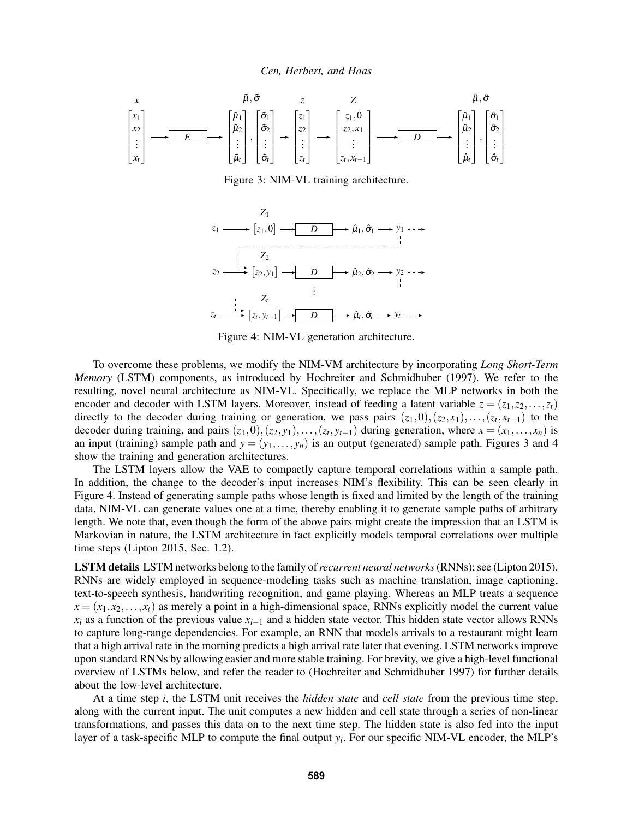<span id="page-5-1"></span><span id="page-5-0"></span>

Figure 3: NIM-VL training architecture.



Figure 4: NIM-VL generation architecture.

To overcome these problems, we modify the NIM-VM architecture by incorporating *Long Short-Term Memory* (LSTM) components, as introduced by [Hochreiter and Schmidhuber \(1997\).](#page-11-12) We refer to the resulting, novel neural architecture as NIM-VL. Specifically, we replace the MLP networks in both the encoder and decoder with LSTM layers. Moreover, instead of feeding a latent variable  $z = (z_1, z_2, \ldots, z_t)$ directly to the decoder during training or generation, we pass pairs  $(z_1,0),(z_2,x_1),\ldots,(z_t,x_{t-1})$  to the decoder during training, and pairs  $(z_1,0),(z_2,y_1),\ldots,(z_t,y_{t-1})$  during generation, where  $x=(x_1,\ldots,x_n)$  is an input (training) sample path and  $y = (y_1, \ldots, y_n)$  is an output (generated) sample path. Figures [3](#page-5-0) and [4](#page-5-1) show the training and generation architectures.

The LSTM layers allow the VAE to compactly capture temporal correlations within a sample path. In addition, the change to the decoder's input increases NIM's flexibility. This can be seen clearly in Figure [4.](#page-5-1) Instead of generating sample paths whose length is fixed and limited by the length of the training data, NIM-VL can generate values one at a time, thereby enabling it to generate sample paths of arbitrary length. We note that, even though the form of the above pairs might create the impression that an LSTM is Markovian in nature, the LSTM architecture in fact explicitly models temporal correlations over multiple time steps [\(Lipton 2015,](#page-11-16) Sec. 1.2).

LSTM details LSTM networks belong to the family of*recurrent neural networks*(RNNs); see [\(Lipton 2015\)](#page-11-16). RNNs are widely employed in sequence-modeling tasks such as machine translation, image captioning, text-to-speech synthesis, handwriting recognition, and game playing. Whereas an MLP treats a sequence  $x = (x_1, x_2, \ldots, x_t)$  as merely a point in a high-dimensional space, RNNs explicitly model the current value  $x_i$  as a function of the previous value  $x_{i-1}$  and a hidden state vector. This hidden state vector allows RNNs to capture long-range dependencies. For example, an RNN that models arrivals to a restaurant might learn that a high arrival rate in the morning predicts a high arrival rate later that evening. LSTM networks improve upon standard RNNs by allowing easier and more stable training. For brevity, we give a high-level functional overview of LSTMs below, and refer the reader to [\(Hochreiter and Schmidhuber 1997\)](#page-11-12) for further details about the low-level architecture.

At a time step *i*, the LSTM unit receives the *hidden state* and *cell state* from the previous time step, along with the current input. The unit computes a new hidden and cell state through a series of non-linear transformations, and passes this data on to the next time step. The hidden state is also fed into the input layer of a task-specific MLP to compute the final output *y<sup>i</sup>* . For our specific NIM-VL encoder, the MLP's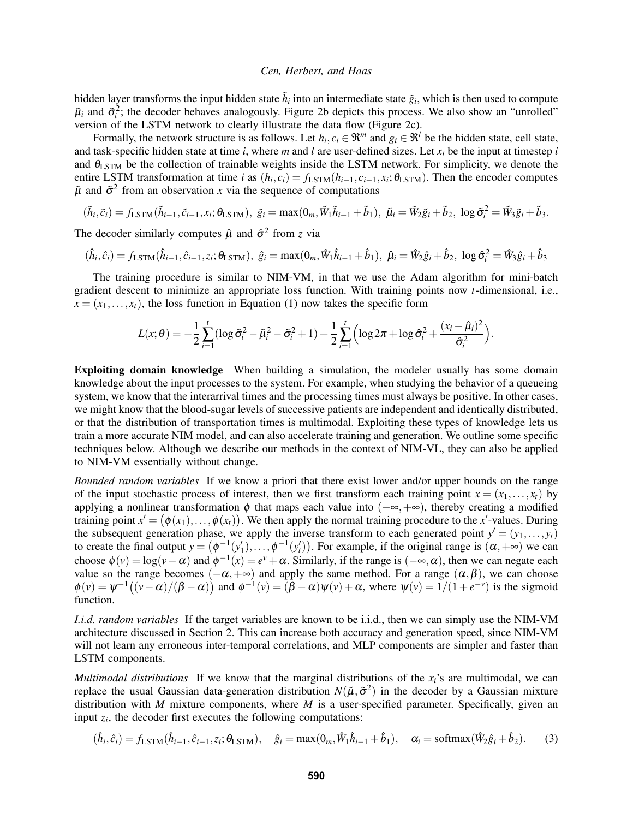hidden layer transforms the input hidden state  $\tilde{h}_i$  into an intermediate state  $\tilde{g}_i$ , which is then used to compute  $\tilde{\mu}_i$  and  $\tilde{\sigma}_i^2$ ; the decoder behaves analogously. Figure [2b](#page-3-0) depicts this process. We also show an "unrolled" version of the LSTM network to clearly illustrate the data flow (Figure [2c\)](#page-3-0).

Formally, the network structure is as follows. Let  $h_i, c_i \in \mathbb{R}^m$  and  $g_i \in \mathbb{R}^l$  be the hidden state, cell state, and task-specific hidden state at time *i*, where *m* and *l* are user-defined sizes. Let *x<sup>i</sup>* be the input at timestep *i* and  $\theta_{\text{LSTM}}$  be the collection of trainable weights inside the LSTM network. For simplicity, we denote the entire LSTM transformation at time *i* as  $(h_i, c_i) = f_{\text{LSTM}}(h_{i-1}, c_{i-1}, x_i; \theta_{\text{LSTM}})$ . Then the encoder computes  $\tilde{\mu}$  and  $\tilde{\sigma}^2$  from an observation *x* via the sequence of computations

$$
(\tilde{h}_i, \tilde{c}_i) = f_{\text{LSTM}}(\tilde{h}_{i-1}, \tilde{c}_{i-1}, x_i; \theta_{\text{LSTM}}), \ \tilde{g}_i = \max(0_m, \tilde{W}_1 \tilde{h}_{i-1} + \tilde{b}_1), \ \tilde{\mu}_i = \tilde{W}_2 \tilde{g}_i + \tilde{b}_2, \ \log \tilde{\sigma}_i^2 = \tilde{W}_3 \tilde{g}_i + \tilde{b}_3.
$$

The decoder similarly computes  $\hat{\mu}$  and  $\hat{\sigma}^2$  from *z* via

$$
(\hat{h}_i, \hat{c}_i) = f_{\text{LSTM}}(\hat{h}_{i-1}, \hat{c}_{i-1}, z_i; \theta_{\text{LSTM}}), \ \hat{g}_i = \max(0_m, \hat{W}_1 \hat{h}_{i-1} + \hat{b}_1), \ \hat{\mu}_i = \hat{W}_2 \hat{g}_i + \hat{b}_2, \ \log \hat{\sigma}_i^2 = \hat{W}_3 \hat{g}_i + \hat{b}_3
$$

The training procedure is similar to NIM-VM, in that we use the Adam algorithm for mini-batch gradient descent to minimize an appropriate loss function. With training points now *t*-dimensional, i.e.,  $x = (x_1, \ldots, x_t)$ , the loss function in Equation [\(1\)](#page-3-1) now takes the specific form

$$
L(x; \theta) = -\frac{1}{2} \sum_{i=1}^{t} (\log \tilde{\sigma}_i^2 - \tilde{\mu}_i^2 - \tilde{\sigma}_i^2 + 1) + \frac{1}{2} \sum_{i=1}^{t} (\log 2\pi + \log \hat{\sigma}_i^2 + \frac{(x_i - \hat{\mu}_i)^2}{\hat{\sigma}_i^2}).
$$

Exploiting domain knowledge When building a simulation, the modeler usually has some domain knowledge about the input processes to the system. For example, when studying the behavior of a queueing system, we know that the interarrival times and the processing times must always be positive. In other cases, we might know that the blood-sugar levels of successive patients are independent and identically distributed, or that the distribution of transportation times is multimodal. Exploiting these types of knowledge lets us train a more accurate NIM model, and can also accelerate training and generation. We outline some specific techniques below. Although we describe our methods in the context of NIM-VL, they can also be applied to NIM-VM essentially without change.

*Bounded random variables* If we know a priori that there exist lower and/or upper bounds on the range of the input stochastic process of interest, then we first transform each training point  $x = (x_1, \ldots, x_t)$  by applying a nonlinear transformation  $\phi$  that maps each value into ( $-\infty, +\infty$ ), thereby creating a modified training point  $x' = (\phi(x_1), \ldots, \phi(x_t))$ . We then apply the normal training procedure to the *x*'-values. During the subsequent generation phase, we apply the inverse transform to each generated point  $y' = (y_1, \ldots, y_t)$ to create the final output  $y = (\phi^{-1}(y'_1), \dots, \phi^{-1}(y'_t))$ . For example, if the original range is  $(\alpha, +\infty)$  we can choose  $\phi(v) = \log(v - \alpha)$  and  $\phi^{-1}(x) = e^v + \alpha$ . Similarly, if the range is  $(-\infty, \alpha)$ , then we can negate each value so the range becomes  $(-\alpha, +\infty)$  and apply the same method. For a range  $(\alpha, \beta)$ , we can choose  $\phi(v) = \psi^{-1}((v - \alpha)/(\beta - \alpha))$  and  $\phi^{-1}(v) = (\beta - \alpha)\psi(v) + \alpha$ , where  $\psi(v) = 1/(1 + e^{-v})$  is the sigmoid function.

*I.i.d. random variables* If the target variables are known to be i.i.d., then we can simply use the NIM-VM architecture discussed in Section [2.](#page-2-0) This can increase both accuracy and generation speed, since NIM-VM will not learn any erroneous inter-temporal correlations, and MLP components are simpler and faster than LSTM components.

*Multimodal distributions* If we know that the marginal distributions of the  $x_i$ 's are multimodal, we can replace the usual Gaussian data-generation distribution  $N(\tilde{\mu}, \tilde{\sigma}^2)$  in the decoder by a Gaussian mixture distribution with *M* mixture components, where *M* is a user-specified parameter. Specifically, given an input  $z_i$ , the decoder first executes the following computations:

$$
(\hat{h}_i, \hat{c}_i) = f_{\text{LSTM}}(\hat{h}_{i-1}, \hat{c}_{i-1}, z_i; \theta_{\text{LSTM}}), \quad \hat{g}_i = \max(0_m, \hat{W}_1 \hat{h}_{i-1} + \hat{b}_1), \quad \alpha_i = \text{softmax}(\hat{W}_2 \hat{g}_i + \hat{b}_2). \tag{3}
$$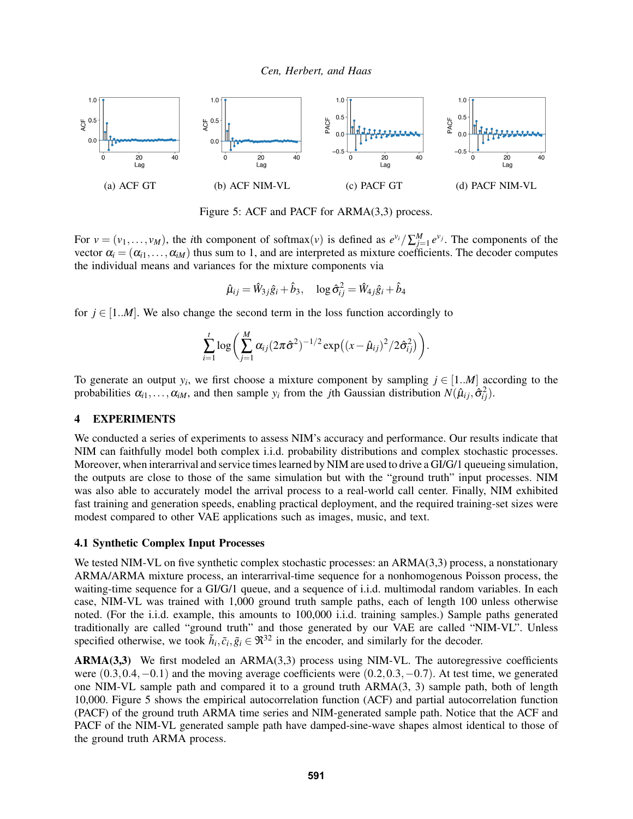<span id="page-7-2"></span>

Figure 5: ACF and PACF for ARMA(3,3) process.

For  $v = (v_1, \ldots, v_M)$ , the *i*th component of softmax $(v)$  is defined as  $e^{v_i}/\sum_{j=1}^M e^{v_j}$ . The components of the vector  $\alpha_i = (\alpha_{i1}, \ldots, \alpha_{iM})$  thus sum to 1, and are interpreted as mixture coefficients. The decoder computes the individual means and variances for the mixture components via

$$
\hat{\mu}_{ij} = \hat{W}_{3j}\hat{g}_i + \hat{b}_3, \quad \log \hat{\sigma}_{ij}^2 = \hat{W}_{4j}\hat{g}_i + \hat{b}_4
$$

for  $j \in [1..M]$ . We also change the second term in the loss function accordingly to

$$
\sum_{i=1}^{t} \log \left( \sum_{j=1}^{M} \alpha_{ij} (2\pi \hat{\sigma}^2)^{-1/2} \exp \left( (x - \hat{\mu}_{ij})^2 / 2 \hat{\sigma}_{ij}^2 \right) \right).
$$

To generate an output  $y_i$ , we first choose a mixture component by sampling  $j \in [1..M]$  according to the probabilities  $\alpha_{i1}, \ldots, \alpha_{iM}$ , and then sample  $y_i$  from the *j*th Gaussian distribution  $N(\hat{\mu}_{ij}, \hat{\sigma}_{ij}^2)$ .

#### <span id="page-7-1"></span>4 EXPERIMENTS

We conducted a series of experiments to assess NIM's accuracy and performance. Our results indicate that NIM can faithfully model both complex i.i.d. probability distributions and complex stochastic processes. Moreover, when interarrival and service times learned by NIM are used to drive a GI/G/1 queueing simulation, the outputs are close to those of the same simulation but with the "ground truth" input processes. NIM was also able to accurately model the arrival process to a real-world call center. Finally, NIM exhibited fast training and generation speeds, enabling practical deployment, and the required training-set sizes were modest compared to other VAE applications such as images, music, and text.

#### <span id="page-7-0"></span>4.1 Synthetic Complex Input Processes

We tested NIM-VL on five synthetic complex stochastic processes: an ARMA(3,3) process, a nonstationary ARMA/ARMA mixture process, an interarrival-time sequence for a nonhomogenous Poisson process, the waiting-time sequence for a GI/G/1 queue, and a sequence of i.i.d. multimodal random variables. In each case, NIM-VL was trained with 1,000 ground truth sample paths, each of length 100 unless otherwise noted. (For the i.i.d. example, this amounts to 100,000 i.i.d. training samples.) Sample paths generated traditionally are called "ground truth" and those generated by our VAE are called "NIM-VL". Unless specified otherwise, we took  $\tilde{h}_i, \tilde{c}_i, \tilde{g}_i \in \mathfrak{R}^{32}$  in the encoder, and similarly for the decoder.

ARMA(3,3) We first modeled an ARMA(3,3) process using NIM-VL. The autoregressive coefficients were (0.3,0.4,−0.1) and the moving average coefficients were (0.2,0.3,−0.7). At test time, we generated one NIM-VL sample path and compared it to a ground truth ARMA(3, 3) sample path, both of length 10,000. Figure [5](#page-7-2) shows the empirical autocorrelation function (ACF) and partial autocorrelation function (PACF) of the ground truth ARMA time series and NIM-generated sample path. Notice that the ACF and PACF of the NIM-VL generated sample path have damped-sine-wave shapes almost identical to those of the ground truth ARMA process.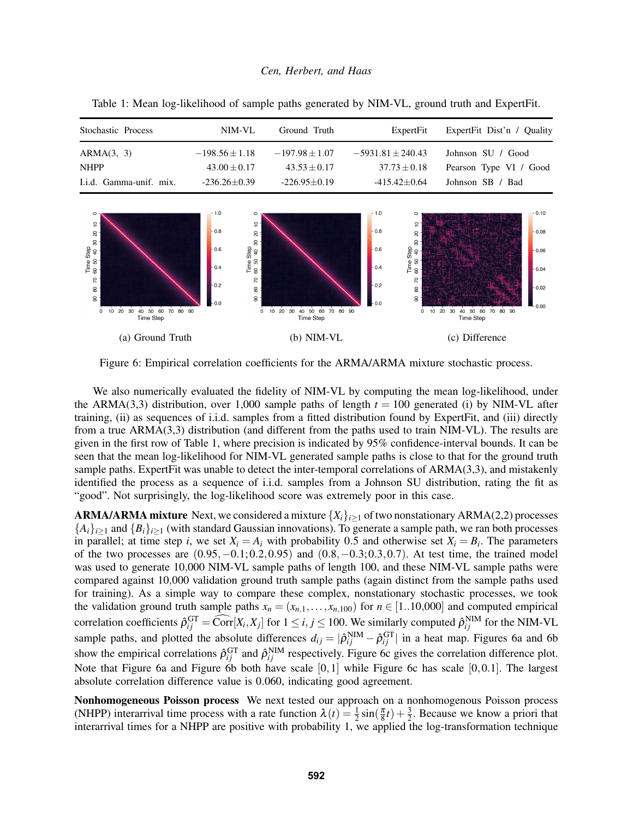| Stochastic Process      | NIM-VL             | Ground Truth       | ExpertFit             | ExpertFit Dist'n / Quality |
|-------------------------|--------------------|--------------------|-----------------------|----------------------------|
| ARMA(3, 3)              | $-198.56 \pm 1.18$ | $-197.98 \pm 1.07$ | $-5931.81 \pm 240.43$ | Johnson SU / Good          |
| <b>NHPP</b>             | $43.00 + 0.17$     | $43.53 + 0.17$     | $37.73 \pm 0.18$      | Pearson Type VI / Good     |
| I.i.d. Gamma-unif. mix. | $-236.26 \pm 0.39$ | $-226.95\pm0.19$   | $-415.42+0.64$        | Johnson SB / Bad           |

 $\frac{1}{2}$ 

 $\overline{a}$ 

 $\rm s$ Time Step<br>50 50 40 3

8

 $\overline{z}$ 

ន្ល

 $\mathbf{s}$ 

 $10\ 20$ 

30 40 50 60 70 80

Time Step

 $0.8$ 

 $0.6$ 

 $0.4$ 

 $0.2$ 

 $9C$ 

 $\epsilon$ 

 $\tilde{a}$ 

 $\overline{a}$ 

 $\rm 8$ 

Time Step<br>60 50 40 3

 $\tt 60$ 

 $\overline{R}$ 

 $\mathbf{S}$ 

 $\tt{S}$ 

 $0.8$ 

 $0.6$ 

 $04$ 

 $_{0.2}$ 

 $90^{\circ}$ 

<span id="page-8-1"></span> $\frac{1}{2}$ 

 $\overline{a}$ 

 $\rm 8$ 

Time Step<br>60 50 40 3

8

 $\overline{R}$ 

 $\tt Q$ 

ട്ട

 $\dot{o}$ 

10 20 30 40 50 60 70 80

Time Step

 $0.10$ 

 $0.08$ 

 $0.06$ 

 $0.04$ 

 $0.02$ 

 $90$ 

<span id="page-8-0"></span>Table 1: Mean log-likelihood of sample paths generated by NIM-VL, ground truth and ExpertFit.

(a) Ground Truth (b) NIM-VL (c) Difference

10 20 30 40 50 60 70 80<br>Time Step

Figure 6: Empirical correlation coefficients for the ARMA/ARMA mixture stochastic process.

We also numerically evaluated the fidelity of NIM-VL by computing the mean log-likelihood, under the ARMA(3,3) distribution, over 1,000 sample paths of length  $t = 100$  generated (i) by NIM-VL after training, (ii) as sequences of i.i.d. samples from a fitted distribution found by ExpertFit, and (iii) directly from a true ARMA(3,3) distribution (and different from the paths used to train NIM-VL). The results are given in the first row of Table [1,](#page-8-0) where precision is indicated by 95% confidence-interval bounds. It can be seen that the mean log-likelihood for NIM-VL generated sample paths is close to that for the ground truth sample paths. ExpertFit was unable to detect the inter-temporal correlations of ARMA(3,3), and mistakenly identified the process as a sequence of i.i.d. samples from a Johnson SU distribution, rating the fit as "good". Not surprisingly, the log-likelihood score was extremely poor in this case.

**ARMA/ARMA mixture** Next, we considered a mixture  $\{X_i\}_{i>1}$  of two nonstationary ARMA(2,2) processes  ${A_i}_{i>1}$  and  ${B_i}_{i>1}$  (with standard Gaussian innovations). To generate a sample path, we ran both processes in parallel; at time step *i*, we set  $X_i = A_i$  with probability 0.5 and otherwise set  $X_i = B_i$ . The parameters of the two processes are  $(0.95, -0.1; 0.2, 0.95)$  and  $(0.8, -0.3; 0.3, 0.7)$ . At test time, the trained model was used to generate 10,000 NIM-VL sample paths of length 100, and these NIM-VL sample paths were compared against 10,000 validation ground truth sample paths (again distinct from the sample paths used for training). As a simple way to compare these complex, nonstationary stochastic processes, we took the validation ground truth sample paths  $x_n = (x_{n,1},...,x_{n,100})$  for  $n \in [1..10,000]$  and computed empirical correlation coefficients  $\hat{\rho}_{ij}^{\text{GT}} = \widehat{\text{Corr}}[X_i, X_j]$  for  $1 \le i, j \le 100$ . We similarly computed  $\hat{\rho}_{ij}^{\text{NIM}}$  for the NIM-VL sample paths, and plotted the absolute differences  $d_{ij} = |\hat{\rho}_{ij}^{NIM} - \hat{\rho}_{ij}^{GT}|$  in a heat map. Figures [6a](#page-8-1) and [6b](#page-8-1) show the empirical correlations  $\hat{\rho}_{ij}^{\text{GT}}$  and  $\hat{\rho}_{ij}^{\text{NIM}}$  respectively. Figure [6c](#page-8-1) gives the correlation difference plot. Note that Figure [6a](#page-8-1) and Figure [6b](#page-8-1) both have scale  $[0,1]$  while Figure [6c](#page-8-1) has scale  $[0,0.1]$ . The largest absolute correlation difference value is 0.060, indicating good agreement.

Nonhomogeneous Poisson process We next tested our approach on a nonhomogenous Poisson process (NHPP) interarrival time process with a rate function  $\lambda(t) = \frac{1}{2} \sin(\frac{\pi}{8}t) + \frac{3}{2}$ . Because we know a priori that interarrival times for a NHPP are positive with probability 1, we applied the log-transformation technique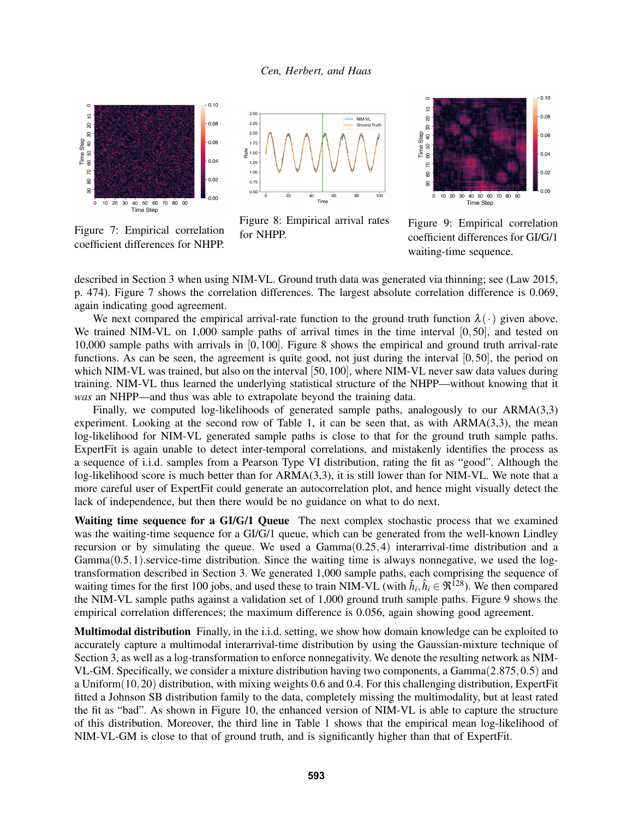<span id="page-9-0"></span>

Figure 7: Empirical correlation coefficient differences for NHPP.





described in Section [3](#page-4-0) when using NIM-VL. Ground truth data was generated via thinning; see [\(Law 2015,](#page-11-0) p. 474). Figure [7](#page-9-0) shows the correlation differences. The largest absolute correlation difference is 0.069, again indicating good agreement.

We next compared the empirical arrival-rate function to the ground truth function  $\lambda(\cdot)$  given above. We trained NIM-VL on 1,000 sample paths of arrival times in the time interval [0,50], and tested on 10,000 sample paths with arrivals in [0,100]. Figure [8](#page-9-0) shows the empirical and ground truth arrival-rate functions. As can be seen, the agreement is quite good, not just during the interval [0,50], the period on which NIM-VL was trained, but also on the interval [50,100], where NIM-VL never saw data values during training. NIM-VL thus learned the underlying statistical structure of the NHPP—without knowing that it *was* an NHPP—and thus was able to extrapolate beyond the training data.

Finally, we computed log-likelihoods of generated sample paths, analogously to our ARMA(3,3) experiment. Looking at the second row of Table [1,](#page-8-0) it can be seen that, as with  $ARMA(3,3)$ , the mean log-likelihood for NIM-VL generated sample paths is close to that for the ground truth sample paths. ExpertFit is again unable to detect inter-temporal correlations, and mistakenly identifies the process as a sequence of i.i.d. samples from a Pearson Type VI distribution, rating the fit as "good". Although the log-likelihood score is much better than for ARMA(3,3), it is still lower than for NIM-VL. We note that a more careful user of ExpertFit could generate an autocorrelation plot, and hence might visually detect the lack of independence, but then there would be no guidance on what to do next.

Waiting time sequence for a GI/G/1 Queue The next complex stochastic process that we examined was the waiting-time sequence for a GI/G/1 queue, which can be generated from the well-known Lindley recursion or by simulating the queue. We used a  $Gamma(0.25, 4)$  interarrival-time distribution and a  $Gamma(0.5,1)$ .service-time distribution. Since the waiting time is always nonnegative, we used the logtransformation described in Section [3.](#page-4-0) We generated 1,000 sample paths, each comprising the sequence of waiting times for the first 100 jobs, and used these to train NIM-VL (with  $\tilde{h}_i, \hat{h}_i \in \Re^{128}$ ). We then compared the NIM-VL sample paths against a validation set of 1,000 ground truth sample paths. Figure [9](#page-9-0) shows the empirical correlation differences; the maximum difference is 0.056, again showing good agreement.

Multimodal distribution Finally, in the i.i.d. setting, we show how domain knowledge can be exploited to accurately capture a multimodal interarrival-time distribution by using the Gaussian-mixture technique of Section [3,](#page-4-0) as well as a log-transformation to enforce nonnegativity. We denote the resulting network as NIM-VL-GM. Specifically, we consider a mixture distribution having two components, a Gamma(2.875,0.5) and a Uniform(10,20) distribution, with mixing weights 0.6 and 0.4. For this challenging distribution, ExpertFit fitted a Johnson SB distribution family to the data, completely missing the multimodality, but at least rated the fit as "bad". As shown in Figure [10,](#page-10-0) the enhanced version of NIM-VL is able to capture the structure of this distribution. Moreover, the third line in Table [1](#page-8-0) shows that the empirical mean log-likelihood of NIM-VL-GM is close to that of ground truth, and is significantly higher than that of ExpertFit.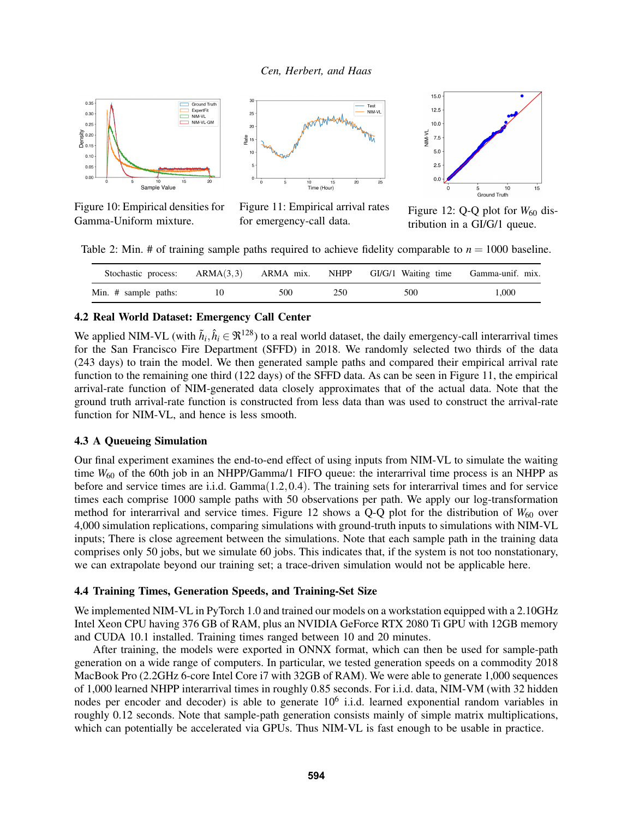<span id="page-10-0"></span>

Figure 10: Empirical densities for Gamma-Uniform mixture.



Figure 11: Empirical arrival rates for emergency-call data.



Figure 12: Q-Q plot for  $W_{60}$  distribution in a GI/G/1 queue.

<span id="page-10-1"></span>Table 2: Min. # of training sample paths required to achieve fidelity comparable to  $n = 1000$  baseline.

| Stochastic process:  | $ARMA(3,3)$ $ARMA mix.$ NHPP |      | GI/G/1 Waiting time | Gamma-unif. mix. |
|----------------------|------------------------------|------|---------------------|------------------|
| Min. # sample paths: | 500                          | 250. | 500                 | L.000            |

#### 4.2 Real World Dataset: Emergency Call Center

We applied NIM-VL (with  $\tilde{h}_i, \hat{h}_i \in \Re^{128}$ ) to a real world dataset, the daily emergency-call interarrival times for the San Francisco Fire Department (SFFD) in 2018. We randomly selected two thirds of the data (243 days) to train the model. We then generated sample paths and compared their empirical arrival rate function to the remaining one third (122 days) of the SFFD data. As can be seen in Figure [11,](#page-10-0) the empirical arrival-rate function of NIM-generated data closely approximates that of the actual data. Note that the ground truth arrival-rate function is constructed from less data than was used to construct the arrival-rate function for NIM-VL, and hence is less smooth.

## 4.3 A Queueing Simulation

Our final experiment examines the end-to-end effect of using inputs from NIM-VL to simulate the waiting time  $W_{60}$  of the 60th job in an NHPP/Gamma/1 FIFO queue: the interarrival time process is an NHPP as before and service times are i.i.d. Gamma(1.2,0.4). The training sets for interarrival times and for service times each comprise 1000 sample paths with 50 observations per path. We apply our log-transformation method for interarrival and service times. Figure [12](#page-10-0) shows a  $Q-Q$  plot for the distribution of  $W_{60}$  over 4,000 simulation replications, comparing simulations with ground-truth inputs to simulations with NIM-VL inputs; There is close agreement between the simulations. Note that each sample path in the training data comprises only 50 jobs, but we simulate 60 jobs. This indicates that, if the system is not too nonstationary, we can extrapolate beyond our training set; a trace-driven simulation would not be applicable here.

### 4.4 Training Times, Generation Speeds, and Training-Set Size

We implemented NIM-VL in PyTorch 1.0 and trained our models on a workstation equipped with a 2.10GHz Intel Xeon CPU having 376 GB of RAM, plus an NVIDIA GeForce RTX 2080 Ti GPU with 12GB memory and CUDA 10.1 installed. Training times ranged between 10 and 20 minutes.

After training, the models were exported in ONNX format, which can then be used for sample-path generation on a wide range of computers. In particular, we tested generation speeds on a commodity 2018 MacBook Pro (2.2GHz 6-core Intel Core i7 with 32GB of RAM). We were able to generate 1,000 sequences of 1,000 learned NHPP interarrival times in roughly 0.85 seconds. For i.i.d. data, NIM-VM (with 32 hidden nodes per encoder and decoder) is able to generate 10<sup>6</sup> i.i.d. learned exponential random variables in roughly 0.12 seconds. Note that sample-path generation consists mainly of simple matrix multiplications, which can potentially be accelerated via GPUs. Thus NIM-VL is fast enough to be usable in practice.